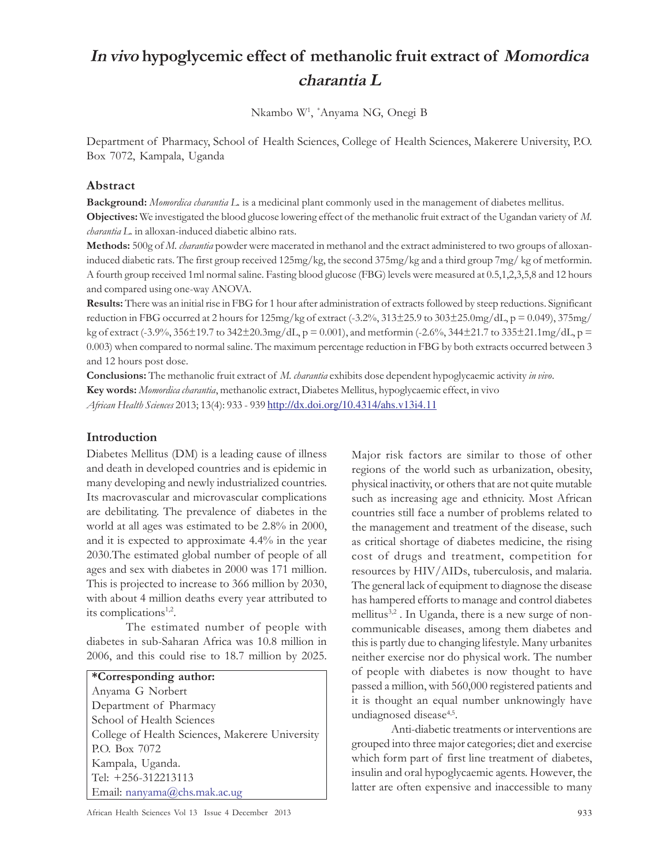# In vivo hypoglycemic effect of methanolic fruit extract of Momordica charantia L

Nkambo W<sup>1</sup> , \*Anyama NG, Onegi B

Department of Pharmacy, School of Health Sciences, College of Health Sciences, Makerere University, P.O. Box 7072, Kampala, Uganda

## Abstract

Background: Momordica charantia L. is a medicinal plant commonly used in the management of diabetes mellitus. Objectives: We investigated the blood glucose lowering effect of the methanolic fruit extract of the Ugandan variety of M. charantia L. in alloxan-induced diabetic albino rats.

Methods: 500g of M. charantia powder were macerated in methanol and the extract administered to two groups of alloxaninduced diabetic rats. The first group received 125mg/kg, the second 375mg/kg and a third group 7mg/ kg of metformin. A fourth group received 1ml normal saline. Fasting blood glucose (FBG) levels were measured at 0.5,1,2,3,5,8 and 12 hours and compared using one-way ANOVA.

Results: There was an initial rise in FBG for 1 hour after administration of extracts followed by steep reductions. Significant reduction in FBG occurred at 2 hours for 125mg/kg of extract (-3.2%, 313±25.9 to 303±25.0mg/dL, p = 0.049), 375mg/ kg of extract (-3.9%, 356±19.7 to 342±20.3mg/dL, p = 0.001), and metformin (-2.6%, 344±21.7 to 335±21.1mg/dL, p = 0.003) when compared to normal saline. The maximum percentage reduction in FBG by both extracts occurred between 3 and 12 hours post dose.

Conclusions: The methanolic fruit extract of M. *charantia* exhibits dose dependent hypoglycaemic activity in vivo. Key words: Momordica charantia, methanolic extract, Diabetes Mellitus, hypoglycaemic effect, in vivo African Health Sciences 2013; 13(4): 933 - 939 http://dx.doi.org/10.4314/ahs.v13i4.11

## Introduction

Diabetes Mellitus (DM) is a leading cause of illness and death in developed countries and is epidemic in many developing and newly industrialized countries. Its macrovascular and microvascular complications are debilitating. The prevalence of diabetes in the world at all ages was estimated to be 2.8% in 2000, and it is expected to approximate 4.4% in the year 2030.The estimated global number of people of all ages and sex with diabetes in 2000 was 171 million. This is projected to increase to 366 million by 2030, with about 4 million deaths every year attributed to its complications<sup>1,2</sup>.

The estimated number of people with diabetes in sub-Saharan Africa was 10.8 million in 2006, and this could rise to 18.7 million by 2025.

\*Corresponding author: Anyama G Norbert Department of Pharmacy School of Health Sciences College of Health Sciences, Makerere University P.O. Box 7072 Kampala, Uganda. Tel: +256-312213113 Email: nanyama@chs.mak.ac.ug

Major risk factors are similar to those of other regions of the world such as urbanization, obesity, physical inactivity, or others that are not quite mutable such as increasing age and ethnicity. Most African countries still face a number of problems related to the management and treatment of the disease, such as critical shortage of diabetes medicine, the rising cost of drugs and treatment, competition for resources by HIV/AIDs, tuberculosis, and malaria. The general lack of equipment to diagnose the disease has hampered efforts to manage and control diabetes mellitus<sup>3,2</sup>. In Uganda, there is a new surge of noncommunicable diseases, among them diabetes and this is partly due to changing lifestyle. Many urbanites neither exercise nor do physical work. The number of people with diabetes is now thought to have passed a million, with 560,000 registered patients and it is thought an equal number unknowingly have undiagnosed disease<sup>4,5</sup>.

Anti-diabetic treatments or interventions are grouped into three major categories; diet and exercise which form part of first line treatment of diabetes, insulin and oral hypoglycaemic agents. However, the latter are often expensive and inaccessible to many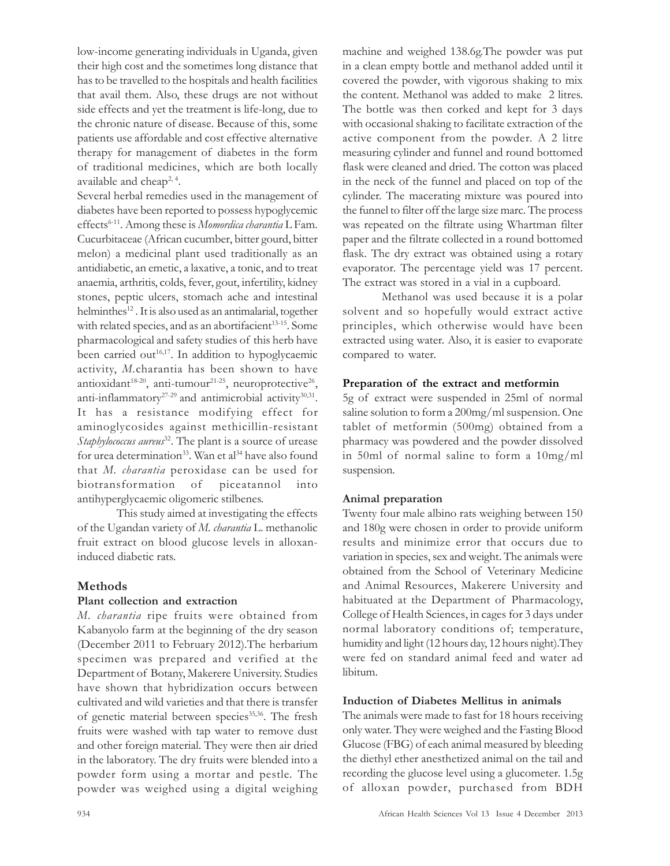low-income generating individuals in Uganda, given their high cost and the sometimes long distance that has to be travelled to the hospitals and health facilities that avail them. Also, these drugs are not without side effects and yet the treatment is life-long, due to the chronic nature of disease. Because of this, some patients use affordable and cost effective alternative therapy for management of diabetes in the form of traditional medicines, which are both locally available and cheap<sup>2, 4</sup>.

Several herbal remedies used in the management of diabetes have been reported to possess hypoglycemic effects<sup>6-11</sup>. Among these is *Momordica charantia* L Fam. Cucurbitaceae (African cucumber, bitter gourd, bitter melon) a medicinal plant used traditionally as an antidiabetic, an emetic, a laxative, a tonic, and to treat anaemia, arthritis, colds, fever, gout, infertility, kidney stones, peptic ulcers, stomach ache and intestinal helminthes<sup>12</sup>. It is also used as an antimalarial, together with related species, and as an abortifacient<sup>13-15</sup>. Some pharmacological and safety studies of this herb have been carried out<sup>16,17</sup>. In addition to hypoglycaemic activity, M.charantia has been shown to have antioxidant $^{18-20}$ , anti-tumour $^{21-25}$ , neuroprotective $^{26}$ , anti-inflammatory<sup>27-29</sup> and antimicrobial activity<sup>30,31</sup>. It has a resistance modifying effect for aminoglycosides against methicillin-resistant Staphylococcus aureus<sup>32</sup>. The plant is a source of urease for urea determination<sup>33</sup>. Wan et al<sup>34</sup> have also found that M. charantia peroxidase can be used for biotransformation of piceatannol into antihyperglycaemic oligomeric stilbenes.

This study aimed at investigating the effects of the Ugandan variety of M. charantia L. methanolic fruit extract on blood glucose levels in alloxaninduced diabetic rats.

# Methods

## Plant collection and extraction

M. charantia ripe fruits were obtained from Kabanyolo farm at the beginning of the dry season (December 2011 to February 2012).The herbarium specimen was prepared and verified at the Department of Botany, Makerere University. Studies have shown that hybridization occurs between cultivated and wild varieties and that there is transfer of genetic material between species<sup>35,36</sup>. The fresh fruits were washed with tap water to remove dust and other foreign material. They were then air dried in the laboratory. The dry fruits were blended into a powder form using a mortar and pestle. The powder was weighed using a digital weighing

machine and weighed 138.6g.The powder was put in a clean empty bottle and methanol added until it covered the powder, with vigorous shaking to mix the content. Methanol was added to make 2 litres. The bottle was then corked and kept for 3 days with occasional shaking to facilitate extraction of the active component from the powder. A 2 litre measuring cylinder and funnel and round bottomed flask were cleaned and dried. The cotton was placed in the neck of the funnel and placed on top of the cylinder. The macerating mixture was poured into the funnel to filter off the large size marc. The process was repeated on the filtrate using Whartman filter paper and the filtrate collected in a round bottomed flask. The dry extract was obtained using a rotary evaporator. The percentage yield was 17 percent. The extract was stored in a vial in a cupboard.

Methanol was used because it is a polar solvent and so hopefully would extract active principles, which otherwise would have been extracted using water. Also, it is easier to evaporate compared to water.

#### Preparation of the extract and metformin

5g of extract were suspended in 25ml of normal saline solution to form a 200mg/ml suspension. One tablet of metformin (500mg) obtained from a pharmacy was powdered and the powder dissolved in 50ml of normal saline to form a 10mg/ml suspension.

## Animal preparation

Twenty four male albino rats weighing between 150 and 180g were chosen in order to provide uniform results and minimize error that occurs due to variation in species, sex and weight. The animals were obtained from the School of Veterinary Medicine and Animal Resources, Makerere University and habituated at the Department of Pharmacology, College of Health Sciences, in cages for 3 days under normal laboratory conditions of; temperature, humidity and light (12 hours day, 12 hours night).They were fed on standard animal feed and water ad libitum.

# Induction of Diabetes Mellitus in animals

The animals were made to fast for 18 hours receiving only water. They were weighed and the Fasting Blood Glucose (FBG) of each animal measured by bleeding the diethyl ether anesthetized animal on the tail and recording the glucose level using a glucometer. 1.5g of alloxan powder, purchased from BDH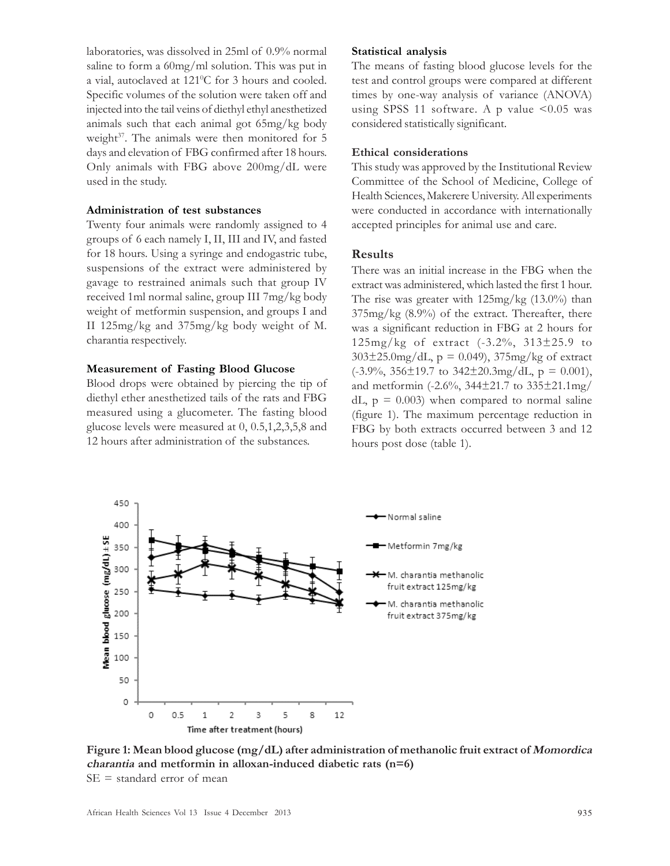laboratories, was dissolved in 25ml of 0.9% normal saline to form a 60mg/ml solution. This was put in a vial, autoclaved at 121<sup>°</sup>C for 3 hours and cooled. Specific volumes of the solution were taken off and injected into the tail veins of diethyl ethyl anesthetized animals such that each animal got 65mg/kg body weight<sup>37</sup>. The animals were then monitored for 5 days and elevation of FBG confirmed after 18 hours. Only animals with FBG above 200mg/dL were used in the study.

## Administration of test substances

Twenty four animals were randomly assigned to 4 groups of 6 each namely I, II, III and IV, and fasted for 18 hours. Using a syringe and endogastric tube, suspensions of the extract were administered by gavage to restrained animals such that group IV received 1ml normal saline, group III 7mg/kg body weight of metformin suspension, and groups I and II 125mg/kg and 375mg/kg body weight of M. charantia respectively.

#### Measurement of Fasting Blood Glucose

Blood drops were obtained by piercing the tip of diethyl ether anesthetized tails of the rats and FBG measured using a glucometer. The fasting blood glucose levels were measured at 0, 0.5,1,2,3,5,8 and 12 hours after administration of the substances.

#### Statistical analysis

The means of fasting blood glucose levels for the test and control groups were compared at different times by one-way analysis of variance (ANOVA) using SPSS 11 software. A p value  $\leq 0.05$  was considered statistically significant.

#### Ethical considerations

This study was approved by the Institutional Review Committee of the School of Medicine, College of Health Sciences, Makerere University. All experiments were conducted in accordance with internationally accepted principles for animal use and care.

## Results

There was an initial increase in the FBG when the extract was administered, which lasted the first 1 hour. The rise was greater with 125mg/kg (13.0%) than  $375mg/kg$  (8.9%) of the extract. Thereafter, there was a significant reduction in FBG at 2 hours for 125mg/kg of extract (-3.2%, 313±25.9 to  $303\pm25.0$ mg/dL, p = 0.049),  $375$ mg/kg of extract  $(-3.9\%, 356\pm19.7 \text{ to } 342\pm20.3 \text{mg/dL}, p = 0.001),$ and metformin (-2.6%, 344±21.7 to 335±21.1mg/ dL,  $p = 0.003$ ) when compared to normal saline (figure 1). The maximum percentage reduction in FBG by both extracts occurred between 3 and 12 hours post dose (table 1).



Figure 1: Mean blood glucose (mg/dL) after administration of methanolic fruit extract of Momordica charantia and metformin in alloxan-induced diabetic rats (n=6)  $SE = standard error of mean$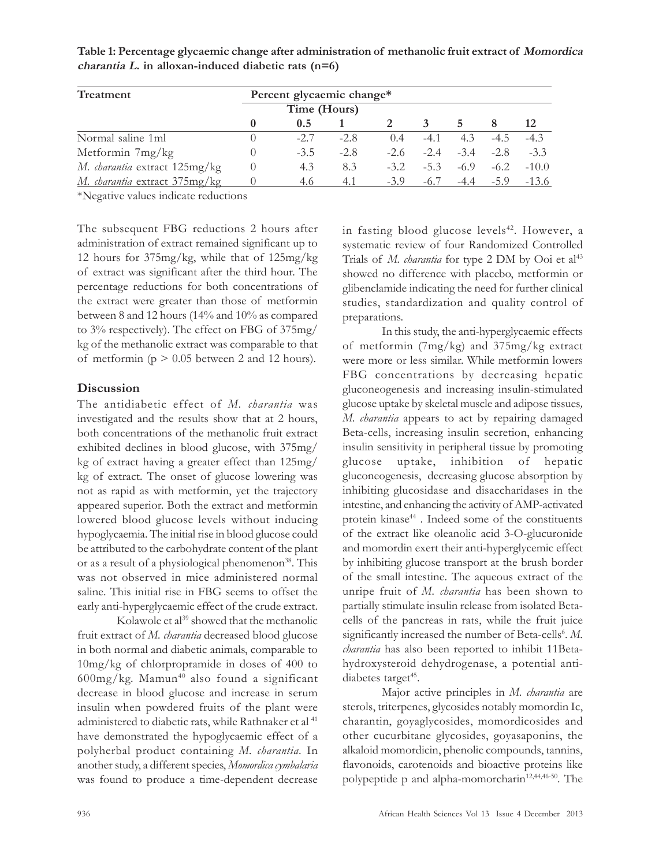| Treatment                     | Percent glycaemic change* |        |        |        |        |        |        |         |
|-------------------------------|---------------------------|--------|--------|--------|--------|--------|--------|---------|
|                               | Time (Hours)              |        |        |        |        |        |        |         |
|                               |                           | 0.5    |        |        |        |        |        |         |
| Normal saline 1ml             |                           | $-2.7$ | $-2.8$ | 0.4    | $-4.1$ | 4.3    | $-4.5$ | $-4.3$  |
| Metformin 7mg/kg              | $\left( \right)$          | $-3.5$ | $-2.8$ | $-2.6$ | $-2.4$ | $-3.4$ | $-2.8$ | $-3.3$  |
| M. charantia extract 125mg/kg | $\theta$                  | 4.3    | 8.3    | $-3.2$ | $-5.3$ | $-6.9$ | $-6.2$ | $-10.0$ |
| M. charantia extract 375mg/kg |                           | 4.6    | 4.1    | $-3.9$ | $-6.7$ | $-4.4$ | $-5.9$ | $-13.6$ |

Table 1: Percentage glycaemic change after administration of methanolic fruit extract of Momordica  $charantia$  L. in alloxan-induced diabetic rats (n=6)

\*Negative values indicate reductions

The subsequent FBG reductions 2 hours after administration of extract remained significant up to 12 hours for 375mg/kg, while that of 125mg/kg of extract was significant after the third hour. The percentage reductions for both concentrations of the extract were greater than those of metformin between 8 and 12 hours (14% and 10% as compared to 3% respectively). The effect on FBG of 375mg/ kg of the methanolic extract was comparable to that of metformin ( $p > 0.05$  between 2 and 12 hours).

## Discussion

The antidiabetic effect of M. charantia was investigated and the results show that at 2 hours, both concentrations of the methanolic fruit extract exhibited declines in blood glucose, with 375mg/ kg of extract having a greater effect than 125mg/ kg of extract. The onset of glucose lowering was not as rapid as with metformin, yet the trajectory appeared superior. Both the extract and metformin lowered blood glucose levels without inducing hypoglycaemia. The initial rise in blood glucose could be attributed to the carbohydrate content of the plant or as a result of a physiological phenomenon<sup>38</sup>. This was not observed in mice administered normal saline. This initial rise in FBG seems to offset the early anti-hyperglycaemic effect of the crude extract.

Kolawole et al<sup>39</sup> showed that the methanolic fruit extract of M. charantia decreased blood glucose in both normal and diabetic animals, comparable to 10mg/kg of chlorpropramide in doses of 400 to 600mg/kg. Mamun<sup>40</sup> also found a significant decrease in blood glucose and increase in serum insulin when powdered fruits of the plant were administered to diabetic rats, while Rathnaker et al <sup>41</sup> have demonstrated the hypoglycaemic effect of a polyherbal product containing M. charantia. In another study, a different species, Momordica cymbalaria was found to produce a time-dependent decrease in fasting blood glucose levels<sup>42</sup>. However, a systematic review of four Randomized Controlled Trials of M. *charantia* for type 2 DM by Ooi et al<sup>43</sup> showed no difference with placebo, metformin or glibenclamide indicating the need for further clinical studies, standardization and quality control of preparations.

In this study, the anti-hyperglycaemic effects of metformin (7mg/kg) and 375mg/kg extract were more or less similar. While metformin lowers FBG concentrations by decreasing hepatic gluconeogenesis and increasing insulin-stimulated glucose uptake by skeletal muscle and adipose tissues, M. charantia appears to act by repairing damaged Beta-cells, increasing insulin secretion, enhancing insulin sensitivity in peripheral tissue by promoting glucose uptake, inhibition of hepatic gluconeogenesis, decreasing glucose absorption by inhibiting glucosidase and disaccharidases in the intestine, and enhancing the activity of AMP-activated protein kinase<sup>44</sup>. Indeed some of the constituents of the extract like oleanolic acid 3-O-glucuronide and momordin exert their anti-hyperglycemic effect by inhibiting glucose transport at the brush border of the small intestine. The aqueous extract of the unripe fruit of M. charantia has been shown to partially stimulate insulin release from isolated Betacells of the pancreas in rats, while the fruit juice significantly increased the number of Beta-cells<sup>6</sup>. M. charantia has also been reported to inhibit 11Betahydroxysteroid dehydrogenase, a potential antidiabetes target<sup>45</sup>.

Major active principles in M. charantia are sterols, triterpenes, glycosides notably momordin Ic, charantin, goyaglycosides, momordicosides and other cucurbitane glycosides, goyasaponins, the alkaloid momordicin, phenolic compounds, tannins, flavonoids, carotenoids and bioactive proteins like polypeptide p and alpha-momorcharin<sup>12,44,46-50</sup>. The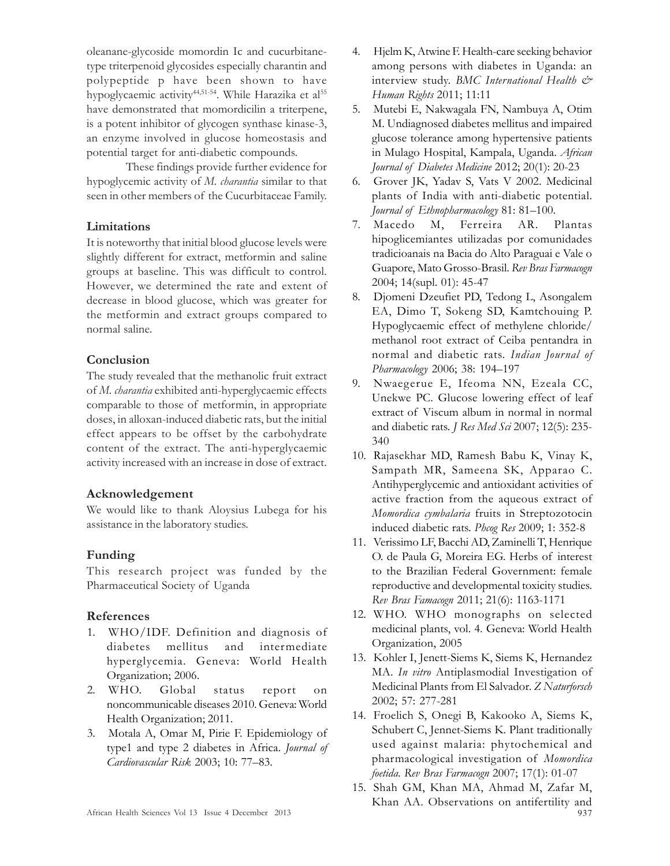oleanane-glycoside momordin Ic and cucurbitanetype triterpenoid glycosides especially charantin and polypeptide p have been shown to have hypoglycaemic activity<sup>44,51-54</sup>. While Harazika et al<sup>55</sup> have demonstrated that momordicilin a triterpene, is a potent inhibitor of glycogen synthase kinase-3, an enzyme involved in glucose homeostasis and potential target for anti-diabetic compounds.

These findings provide further evidence for hypoglycemic activity of M. charantia similar to that seen in other members of the Cucurbitaceae Family.

# Limitations

It is noteworthy that initial blood glucose levels were slightly different for extract, metformin and saline groups at baseline. This was difficult to control. However, we determined the rate and extent of decrease in blood glucose, which was greater for the metformin and extract groups compared to normal saline.

# Conclusion

The study revealed that the methanolic fruit extract of M. charantia exhibited anti-hyperglycaemic effects comparable to those of metformin, in appropriate doses, in alloxan-induced diabetic rats, but the initial effect appears to be offset by the carbohydrate content of the extract. The anti-hyperglycaemic activity increased with an increase in dose of extract.

# Acknowledgement

We would like to thank Aloysius Lubega for his assistance in the laboratory studies.

# Funding

This research project was funded by the Pharmaceutical Society of Uganda

# References

- 1. WHO/IDF. Definition and diagnosis of diabetes mellitus and intermediate hyperglycemia. Geneva: World Health Organization; 2006.
- 2. WHO. Global status report on noncommunicable diseases 2010. Geneva: World Health Organization; 2011.
- 3. Motala A, Omar M, Pirie F. Epidemiology of type1 and type 2 diabetes in Africa. Journal of Cardiovascular Risk 2003; 10: 77–83.
- 4. Hjelm K, Atwine F. Health-care seeking behavior among persons with diabetes in Uganda: an interview study. BMC International Health  $\mathcal{Q}^*$ Human Rights 2011; 11:11
- 5. Mutebi E, Nakwagala FN, Nambuya A, Otim M. Undiagnosed diabetes mellitus and impaired glucose tolerance among hypertensive patients in Mulago Hospital, Kampala, Uganda. African Journal of Diabetes Medicine 2012; 20(1): 20-23
- 6. Grover JK, Yadav S, Vats V 2002. Medicinal plants of India with anti-diabetic potential. Journal of Ethnopharmacology 81: 81–100.
- 7. Macedo M, Ferreira AR. Plantas hipoglicemiantes utilizadas por comunidades tradicioanais na Bacia do Alto Paraguai e Vale o Guapore, Mato Grosso-Brasil. Rev Bras Farmacogn 2004; 14(supl. 01): 45-47
- 8. Djomeni Dzeufiet PD, Tedong L, Asongalem EA, Dimo T, Sokeng SD, Kamtchouing P. Hypoglycaemic effect of methylene chloride/ methanol root extract of Ceiba pentandra in normal and diabetic rats. Indian Journal of Pharmacology 2006; 38: 194–197
- 9. Nwaegerue E, Ifeoma NN, Ezeala CC, Unekwe PC. Glucose lowering effect of leaf extract of Viscum album in normal in normal and diabetic rats. J Res Med Sci 2007; 12(5): 235-340
- 10. Rajasekhar MD, Ramesh Babu K, Vinay K, Sampath MR, Sameena SK, Apparao C. Antihyperglycemic and antioxidant activities of active fraction from the aqueous extract of Momordica cymbalaria fruits in Streptozotocin induced diabetic rats. Phcog Res 2009; 1: 352-8
- 11. Verissimo LF, Bacchi AD, Zaminelli T, Henrique O. de Paula G, Moreira EG. Herbs of interest to the Brazilian Federal Government: female reproductive and developmental toxicity studies. Rev Bras Famacogn 2011; 21(6): 1163-1171
- 12. WHO. WHO monographs on selected medicinal plants, vol. 4. Geneva: World Health Organization, 2005
- 13. Kohler I, Jenett-Siems K, Siems K, Hernandez MA. In vitro Antiplasmodial Investigation of Medicinal Plants from El Salvador. Z Naturforsch 2002; 57: 277-281
- 14. Froelich S, Onegi B, Kakooko A, Siems K, Schubert C, Jennet-Siems K. Plant traditionally used against malaria: phytochemical and pharmacological investigation of Momordica foetida. Rev Bras Farmacogn 2007; 17(1): 01-07
- 15. Shah GM, Khan MA, Ahmad M, Zafar M, Khan AA. Observations on antifertility and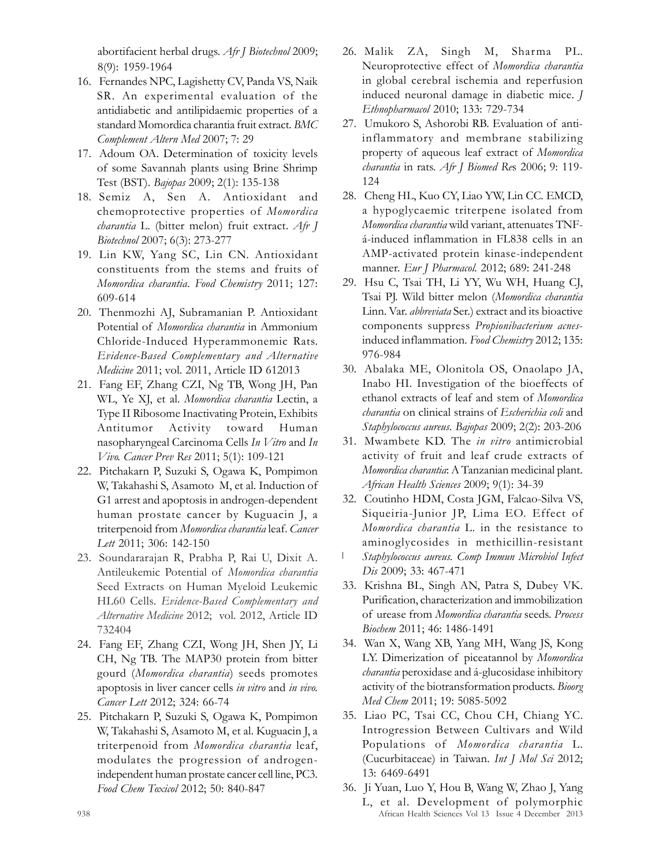abortifacient herbal drugs. Afr J Biotechnol 2009; 8(9): 1959-1964

- 16. Fernandes NPC, Lagishetty CV, Panda VS, Naik SR. An experimental evaluation of the antidiabetic and antilipidaemic properties of a standard Momordica charantia fruit extract. BMC Complement Altern Med 2007; 7: 29
- 17. Adoum OA. Determination of toxicity levels of some Savannah plants using Brine Shrimp Test (BST). Bajopas 2009; 2(1): 135-138
- 18. Semiz A, Sen A. Antioxidant and chemoprotective properties of Momordica charantia L. (bitter melon) fruit extract. Afr J Biotechnol 2007; 6(3): 273-277
- 19. Lin KW, Yang SC, Lin CN. Antioxidant constituents from the stems and fruits of Momordica charantia. Food Chemistry 2011; 127: 609-614
- 20. Thenmozhi AJ, Subramanian P. Antioxidant Potential of Momordica charantia in Ammonium Chloride-Induced Hyperammonemic Rats. Evidence-Based Complementary and Alternative Medicine 2011; vol. 2011, Article ID 612013
- 21. Fang EF, Zhang CZI, Ng TB, Wong JH, Pan WL, Ye XJ, et al. Momordica charantia Lectin, a Type II Ribosome Inactivating Protein, Exhibits Antitumor Activity toward Human nasopharyngeal Carcinoma Cells In Vitro and In Vivo. Cancer Prev Res 2011; 5(1): 109-121
- 22. Pitchakarn P, Suzuki S, Ogawa K, Pompimon W, Takahashi S, Asamoto M, et al. Induction of G1 arrest and apoptosis in androgen-dependent human prostate cancer by Kuguacin J, a triterpenoid from Momordica charantia leaf. Cancer Lett 2011; 306: 142-150
- 23. Soundararajan R, Prabha P, Rai U, Dixit A. Antileukemic Potential of Momordica charantia Seed Extracts on Human Myeloid Leukemic HL60 Cells. Evidence-Based Complementary and Alternative Medicine 2012; vol. 2012, Article ID 732404
- 24. Fang EF, Zhang CZI, Wong JH, Shen JY, Li CH, Ng TB. The MAP30 protein from bitter gourd (Momordica charantia) seeds promotes apoptosis in liver cancer cells in vitro and in vivo. Cancer Lett 2012; 324: 66-74
- 25. Pitchakarn P, Suzuki S, Ogawa K, Pompimon W, Takahashi S, Asamoto M, et al. Kuguacin J, a triterpenoid from Momordica charantia leaf, modulates the progression of androgenindependent human prostate cancer cell line, PC3. Food Chem Toxicol 2012; 50: 840-847
- 26. Malik ZA, Singh M, Sharma PL. Neuroprotective effect of Momordica charantia in global cerebral ischemia and reperfusion induced neuronal damage in diabetic mice. J Ethnopharmacol 2010; 133: 729-734
- 27. Umukoro S, Ashorobi RB. Evaluation of antiinflammatory and membrane stabilizing property of aqueous leaf extract of Momordica charantia in rats. Afr J Biomed Res 2006; 9: 119-124
- 28. Cheng HL, Kuo CY, Liao YW, Lin CC. EMCD, a hypoglycaemic triterpene isolated from Momordica charantia wild variant, attenuates TNFá-induced inflammation in FL838 cells in an AMP-activated protein kinase-independent manner. Eur J Pharmacol. 2012; 689: 241-248
- 29. Hsu C, Tsai TH, Li YY, Wu WH, Huang CJ, Tsai PJ. Wild bitter melon (Momordica charantia Linn. Var. abbreviata Ser.) extract and its bioactive components suppress Propionibacterium acnesinduced inflammation. Food Chemistry 2012; 135: 976-984
- 30. Abalaka ME, Olonitola OS, Onaolapo JA, Inabo HI. Investigation of the bioeffects of ethanol extracts of leaf and stem of Momordica charantia on clinical strains of Escherichia coli and Staphylococcus aureus. Bajopas 2009; 2(2): 203-206
- 31. Mwambete KD. The in vitro antimicrobial activity of fruit and leaf crude extracts of Momordica charantia: A Tanzanian medicinal plant. African Health Sciences 2009; 9(1): 34-39
- 32. Coutinho HDM, Costa JGM, Falcao-Silva VS, Siqueiria-Junior JP, Lima EO. Effect of Momordica charantia L. in the resistance to aminoglycosides in methicillin-resistant
- L Staphylococcus aureus. Comp Immun Microbiol Infect Dis 2009; 33: 467-471
- 33. Krishna BL, Singh AN, Patra S, Dubey VK. Purification, characterization and immobilization of urease from Momordica charantia seeds. Process Biochem 2011; 46: 1486-1491
- 34. Wan X, Wang XB, Yang MH, Wang JS, Kong LY. Dimerization of piceatannol by Momordica charantia peroxidase and á-glucosidase inhibitory activity of the biotransformation products. Bioorg Med Chem 2011; 19: 5085-5092
- 35. Liao PC, Tsai CC, Chou CH, Chiang YC. Introgression Between Cultivars and Wild Populations of Momordica charantia L. (Cucurbitaceae) in Taiwan. Int J Mol Sci 2012; 13: 6469-6491
- 36. Ji Yuan, Luo Y, Hou B, Wang W, Zhao J, Yang
- 938 African Health Sciences Vol 13 Issue 4 December 2013 L, et al. Development of polymorphic